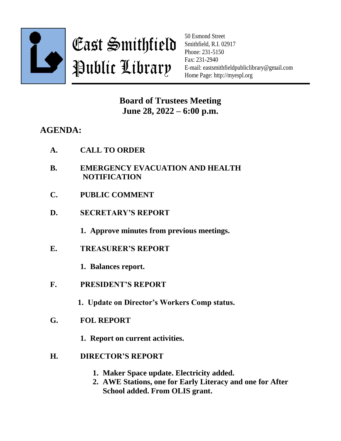

East Smithfield Public Library

50 Esmond Street Smithfield, R.I. 02917 Phone: 231-5150 Fax: 231-2940 E-mail: eastsmithfieldpubliclibrary@gmail.com Home Page: http://myespl.org

**Board of Trustees Meeting June 28, 2022 – 6:00 p.m.**

## **AGENDA:**

- **B. EMERGENCY EVACUATION AND HEALTH NOTIFICATION**
- **C. PUBLIC COMMENT**
- **D. SECRETARY'S REPORT**

**1. Approve minutes from previous meetings.**

**E. TREASURER'S REPORT**

**1. Balances report.**

**F. PRESIDENT'S REPORT**

**1. Update on Director's Workers Comp status.**

- **G. FOL REPORT**
	- **1. Report on current activities.**
- **H. DIRECTOR'S REPORT**
	- **1. Maker Space update. Electricity added.**
	- **2. AWE Stations, one for Early Literacy and one for After School added. From OLIS grant.**